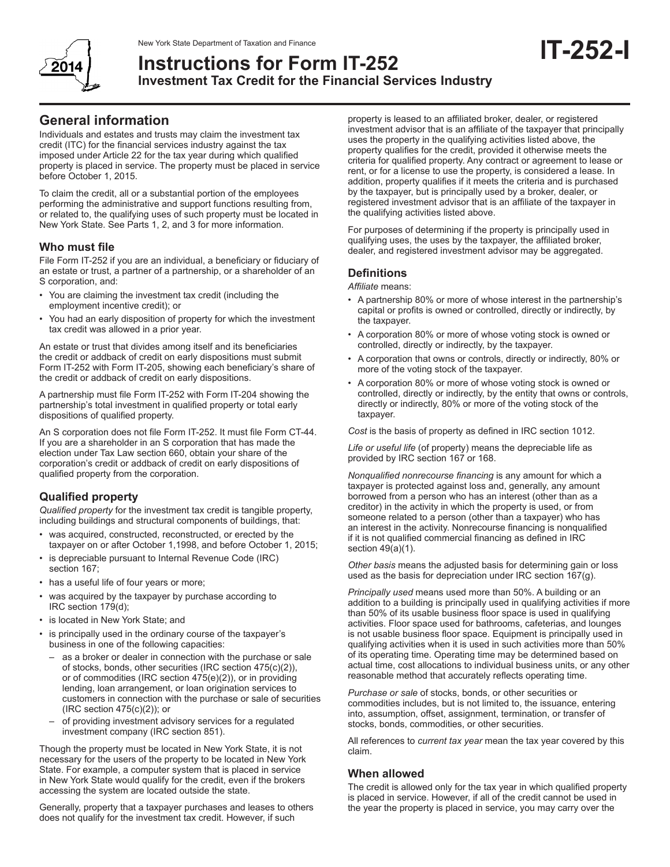

# New York State Department of Taxation and Finance<br>Instructions for Form IT\_252 **Instructions for Form IT-252 Investment Tax Credit for the Financial Services Industry**

Individuals and estates and trusts may claim the investment tax credit (ITC) for the financial services industry against the tax imposed under Article 22 for the tax year during which qualified property is placed in service. The property must be placed in service before October 1, 2015.

To claim the credit, all or a substantial portion of the employees performing the administrative and support functions resulting from, or related to, the qualifying uses of such property must be located in New York State. See Parts 1, 2, and 3 for more information.

## **Who must file**

File Form IT-252 if you are an individual, a beneficiary or fiduciary of an estate or trust, a partner of a partnership, or a shareholder of an S corporation, and:

- You are claiming the investment tax credit (including the employment incentive credit); or
- You had an early disposition of property for which the investment tax credit was allowed in a prior year.

An estate or trust that divides among itself and its beneficiaries the credit or addback of credit on early dispositions must submit Form IT-252 with Form IT‑205, showing each beneficiary's share of the credit or addback of credit on early dispositions.

A partnership must file Form IT-252 with Form IT-204 showing the partnership's total investment in qualified property or total early dispositions of qualified property.

An S corporation does not file Form IT-252. It must file Form CT-44. If you are a shareholder in an S corporation that has made the election under Tax Law section 660, obtain your share of the corporation's credit or addback of credit on early dispositions of qualified property from the corporation.

## **Qualified property**

*Qualified property* for the investment tax credit is tangible property, including buildings and structural components of buildings, that:

- was acquired, constructed, reconstructed, or erected by the taxpayer on or after October 1,1998, and before October 1, 2015;
- is depreciable pursuant to Internal Revenue Code (IRC) section 167;
- has a useful life of four years or more;
- was acquired by the taxpayer by purchase according to IRC section 179(d);
- is located in New York State; and
- is principally used in the ordinary course of the taxpayer's business in one of the following capacities:
	- as a broker or dealer in connection with the purchase or sale of stocks, bonds, other securities (IRC section 475(c)(2)), or of commodities (IRC section 475(e)(2)), or in providing lending, loan arrangement, or loan origination services to customers in connection with the purchase or sale of securities (IRC section 475(c)(2)); or
	- of providing investment advisory services for a regulated investment company (IRC section 851).

Though the property must be located in New York State, it is not necessary for the users of the property to be located in New York State. For example, a computer system that is placed in service in New York State would qualify for the credit, even if the brokers accessing the system are located outside the state.

Generally, property that a taxpayer purchases and leases to others does not qualify for the investment tax credit. However, if such

property is leased to an affiliated broker, dealer, or registered investment advisor that is an affiliate of the taxpayer that principally uses the property in the qualifying activities listed above, the property qualifies for the credit, provided it otherwise meets the criteria for qualified property. Any contract or agreement to lease or rent, or for a license to use the property, is considered a lease. In addition, property qualifies if it meets the criteria and is purchased by the taxpayer, but is principally used by a broker, dealer, or registered investment advisor that is an affiliate of the taxpayer in the qualifying activities listed above.

For purposes of determining if the property is principally used in qualifying uses, the uses by the taxpayer, the affiliated broker, dealer, and registered investment advisor may be aggregated.

## **Definitions**

*Affiliate* means:

- A partnership 80% or more of whose interest in the partnership's capital or profits is owned or controlled, directly or indirectly, by the taxpayer.
- A corporation 80% or more of whose voting stock is owned or controlled, directly or indirectly, by the taxpayer.
- A corporation that owns or controls, directly or indirectly, 80% or more of the voting stock of the taxpayer.
- A corporation 80% or more of whose voting stock is owned or controlled, directly or indirectly, by the entity that owns or controls, directly or indirectly, 80% or more of the voting stock of the taxpayer.

*Cost* is the basis of property as defined in IRC section 1012.

*Life or useful life* (of property) means the depreciable life as provided by IRC section 167 or 168.

*Nonqualified nonrecourse financing* is any amount for which a taxpayer is protected against loss and, generally, any amount borrowed from a person who has an interest (other than as a creditor) in the activity in which the property is used, or from someone related to a person (other than a taxpayer) who has an interest in the activity. Nonrecourse financing is nonqualified if it is not qualified commercial financing as defined in IRC section 49(a)(1).

*Other basis* means the adjusted basis for determining gain or loss used as the basis for depreciation under IRC section 167(g).

*Principally used* means used more than 50%. A building or an addition to a building is principally used in qualifying activities if more than 50% of its usable business floor space is used in qualifying activities. Floor space used for bathrooms, cafeterias, and lounges is not usable business floor space. Equipment is principally used in qualifying activities when it is used in such activities more than 50% of its operating time. Operating time may be determined based on actual time, cost allocations to individual business units, or any other reasonable method that accurately reflects operating time.

*Purchase or sale* of stocks, bonds, or other securities or commodities includes, but is not limited to, the issuance, entering into, assumption, offset, assignment, termination, or transfer of stocks, bonds, commodities, or other securities.

All references to *current tax year* mean the tax year covered by this claim.

## **When allowed**

The credit is allowed only for the tax year in which qualified property is placed in service. However, if all of the credit cannot be used in the year the property is placed in service, you may carry over the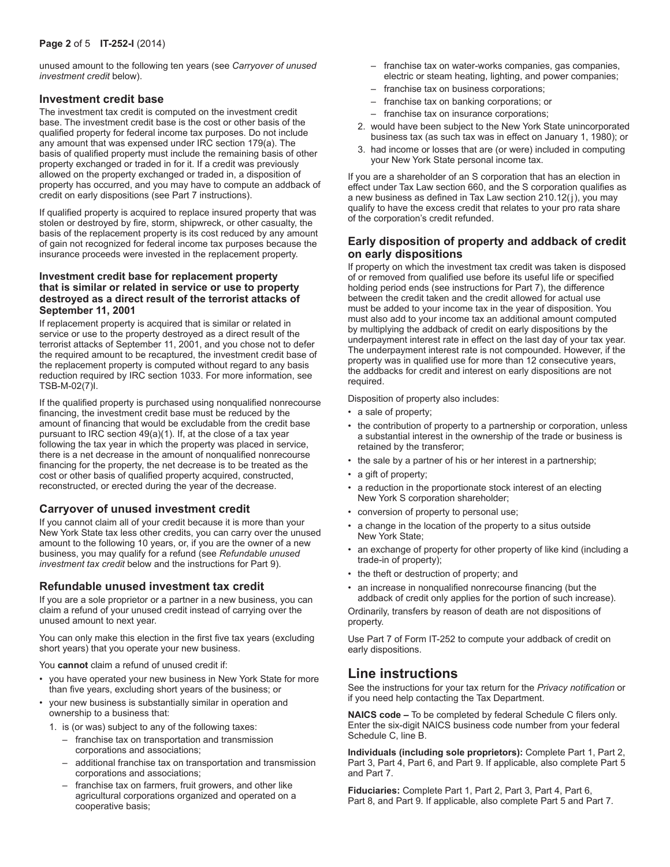unused amount to the following ten years (see *Carryover of unused investment credit* below).

## **Investment credit base**

The investment tax credit is computed on the investment credit base. The investment credit base is the cost or other basis of the qualified property for federal income tax purposes. Do not include any amount that was expensed under IRC section 179(a). The basis of qualified property must include the remaining basis of other property exchanged or traded in for it. If a credit was previously allowed on the property exchanged or traded in, a disposition of property has occurred, and you may have to compute an addback of credit on early dispositions (see Part 7 instructions).

If qualified property is acquired to replace insured property that was stolen or destroyed by fire, storm, shipwreck, or other casualty, the basis of the replacement property is its cost reduced by any amount of gain not recognized for federal income tax purposes because the insurance proceeds were invested in the replacement property.

#### **Investment credit base for replacement property that is similar or related in service or use to property destroyed as a direct result of the terrorist attacks of September 11, 2001**

If replacement property is acquired that is similar or related in service or use to the property destroyed as a direct result of the terrorist attacks of September 11, 2001, and you chose not to defer the required amount to be recaptured, the investment credit base of the replacement property is computed without regard to any basis reduction required by IRC section 1033. For more information, see TSB-M-02(7)I.

If the qualified property is purchased using nonqualified nonrecourse financing, the investment credit base must be reduced by the amount of financing that would be excludable from the credit base pursuant to IRC section 49(a)(1). If, at the close of a tax year following the tax year in which the property was placed in service, there is a net decrease in the amount of nonqualified nonrecourse financing for the property, the net decrease is to be treated as the cost or other basis of qualified property acquired, constructed, reconstructed, or erected during the year of the decrease.

## **Carryover of unused investment credit**

If you cannot claim all of your credit because it is more than your New York State tax less other credits, you can carry over the unused amount to the following 10 years, or, if you are the owner of a new business, you may qualify for a refund (see *Refundable unused investment tax credit* below and the instructions for Part 9).

## **Refundable unused investment tax credit**

If you are a sole proprietor or a partner in a new business, you can claim a refund of your unused credit instead of carrying over the unused amount to next year.

You can only make this election in the first five tax years (excluding short years) that you operate your new business.

You **cannot** claim a refund of unused credit if:

- you have operated your new business in New York State for more than five years, excluding short years of the business; or
- your new business is substantially similar in operation and ownership to a business that:
- 1. is (or was) subject to any of the following taxes:
	- franchise tax on transportation and transmission corporations and associations;
	- additional franchise tax on transportation and transmission corporations and associations;
	- franchise tax on farmers, fruit growers, and other like agricultural corporations organized and operated on a cooperative basis;
- franchise tax on water-works companies, gas companies, electric or steam heating, lighting, and power companies;
- franchise tax on business corporations;
- franchise tax on banking corporations; or
- franchise tax on insurance corporations;
- 2. would have been subject to the New York State unincorporated business tax (as such tax was in effect on January 1, 1980); or
- 3. had income or losses that are (or were) included in computing your New York State personal income tax.

If you are a shareholder of an S corporation that has an election in effect under Tax Law section 660, and the S corporation qualifies as a new business as defined in Tax Law section 210.12(j), you may qualify to have the excess credit that relates to your pro rata share of the corporation's credit refunded.

## **Early disposition of property and addback of credit on early dispositions**

If property on which the investment tax credit was taken is disposed of or removed from qualified use before its useful life or specified holding period ends (see instructions for Part 7), the difference between the credit taken and the credit allowed for actual use must be added to your income tax in the year of disposition. You must also add to your income tax an additional amount computed by multiplying the addback of credit on early dispositions by the underpayment interest rate in effect on the last day of your tax year. The underpayment interest rate is not compounded. However, if the property was in qualified use for more than 12 consecutive years, the addbacks for credit and interest on early dispositions are not required.

Disposition of property also includes:

- a sale of property;
- the contribution of property to a partnership or corporation, unless a substantial interest in the ownership of the trade or business is retained by the transferor;
- the sale by a partner of his or her interest in a partnership;
- a gift of property;
- a reduction in the proportionate stock interest of an electing New York S corporation shareholder;
- conversion of property to personal use;
- a change in the location of the property to a situs outside New York State;
- an exchange of property for other property of like kind (including a trade-in of property);
- the theft or destruction of property; and
- an increase in nonqualified nonrecourse financing (but the addback of credit only applies for the portion of such increase).

Ordinarily, transfers by reason of death are not dispositions of property.

Use Part 7 of Form IT-252 to compute your addback of credit on early dispositions.

# **Line instructions**

See the instructions for your tax return for the *Privacy notification* or if you need help contacting the Tax Department.

**NAICS code –** To be completed by federal Schedule C filers only. Enter the six-digit NAICS business code number from your federal Schedule C, line B.

**Individuals (including sole proprietors):** Complete Part 1, Part 2, Part 3, Part 4, Part 6, and Part 9. If applicable, also complete Part 5 and Part 7.

**Fiduciaries:** Complete Part 1, Part 2, Part 3, Part 4, Part 6, Part 8, and Part 9. If applicable, also complete Part 5 and Part 7.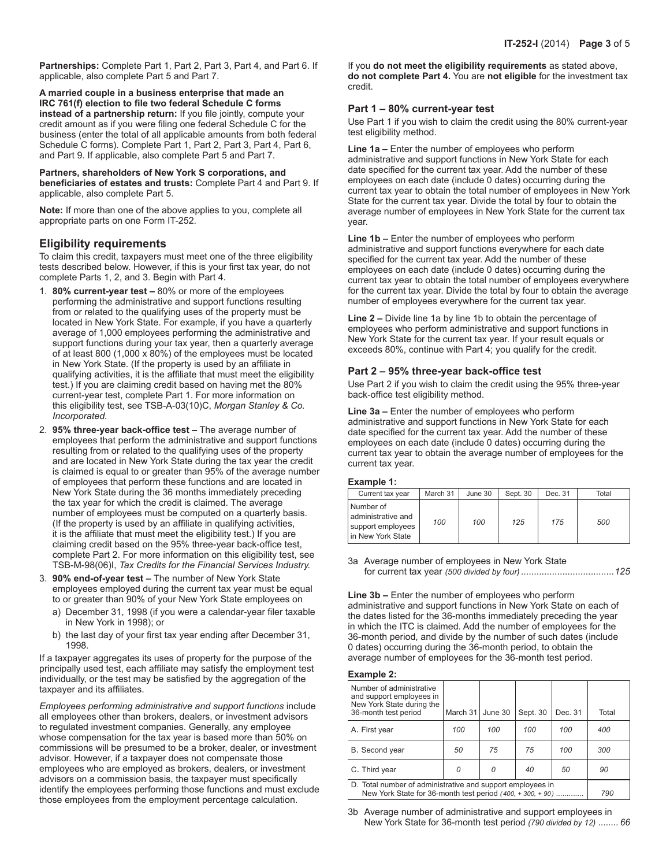**Partnerships:** Complete Part 1, Part 2, Part 3, Part 4, and Part 6. If applicable, also complete Part 5 and Part 7.

**A married couple in a business enterprise that made an IRC 761(f) election to file two federal Schedule C forms instead of a partnership return:** If you file jointly, compute your credit amount as if you were filing one federal Schedule C for the business (enter the total of all applicable amounts from both federal Schedule C forms). Complete Part 1, Part 2, Part 3, Part 4, Part 6, and Part 9. If applicable, also complete Part 5 and Part 7.

**Partners, shareholders of New York S corporations, and beneficiaries of estates and trusts:** Complete Part 4 and Part 9. If applicable, also complete Part 5.

**Note:** If more than one of the above applies to you, complete all appropriate parts on one Form IT-252.

### **Eligibility requirements**

To claim this credit, taxpayers must meet one of the three eligibility tests described below. However, if this is your first tax year, do not complete Parts 1, 2, and 3. Begin with Part 4.

- 1. **80% current-year test** 80% or more of the employees performing the administrative and support functions resulting from or related to the qualifying uses of the property must be located in New York State. For example, if you have a quarterly average of 1,000 employees performing the administrative and support functions during your tax year, then a quarterly average of at least 800 (1,000 x 80%) of the employees must be located in New York State. (If the property is used by an affiliate in qualifying activities, it is the affiliate that must meet the eligibility test.) If you are claiming credit based on having met the 80% current-year test, complete Part 1. For more information on this eligibility test, see TSB-A-03(10)C, *Morgan Stanley & Co. Incorporated.*
- 2. **95% three-year back-office test –** The average number of employees that perform the administrative and support functions resulting from or related to the qualifying uses of the property and are located in New York State during the tax year the credit is claimed is equal to or greater than 95% of the average number of employees that perform these functions and are located in New York State during the 36 months immediately preceding the tax year for which the credit is claimed. The average number of employees must be computed on a quarterly basis. (If the property is used by an affiliate in qualifying activities, it is the affiliate that must meet the eligibility test.) If you are claiming credit based on the 95% three-year back-office test, complete Part 2. For more information on this eligibility test, see TSB-M-98(06)I, *Tax Credits for the Financial Services Industry.*
- 3. **90% end-of-year test –** The number of New York State employees employed during the current tax year must be equal to or greater than 90% of your New York State employees on
	- a) December 31, 1998 (if you were a calendar-year filer taxable in New York in 1998); or
	- b) the last day of your first tax year ending after December 31, 1998.

If a taxpayer aggregates its uses of property for the purpose of the principally used test, each affiliate may satisfy the employment test individually, or the test may be satisfied by the aggregation of the taxpayer and its affiliates.

*Employees performing administrative and support functions* include all employees other than brokers, dealers, or investment advisors to regulated investment companies. Generally, any employee whose compensation for the tax year is based more than 50% on commissions will be presumed to be a broker, dealer, or investment advisor. However, if a taxpayer does not compensate those employees who are employed as brokers, dealers, or investment advisors on a commission basis, the taxpayer must specifically identify the employees performing those functions and must exclude those employees from the employment percentage calculation.

If you **do not meet the eligibility requirements** as stated above, **do not complete Part 4.** You are **not eligible** for the investment tax credit.

#### **Part 1 – 80% current-year test**

Use Part 1 if you wish to claim the credit using the 80% current-year test eligibility method.

**Line 1a –** Enter the number of employees who perform administrative and support functions in New York State for each date specified for the current tax year. Add the number of these employees on each date (include 0 dates) occurring during the current tax year to obtain the total number of employees in New York State for the current tax year. Divide the total by four to obtain the average number of employees in New York State for the current tax year.

**Line 1b –** Enter the number of employees who perform administrative and support functions everywhere for each date specified for the current tax year. Add the number of these employees on each date (include 0 dates) occurring during the current tax year to obtain the total number of employees everywhere for the current tax year. Divide the total by four to obtain the average number of employees everywhere for the current tax year.

**Line 2 –** Divide line 1a by line 1b to obtain the percentage of employees who perform administrative and support functions in New York State for the current tax year. If your result equals or exceeds 80%, continue with Part 4; you qualify for the credit.

#### **Part 2 – 95% three-year back-office test**

Use Part 2 if you wish to claim the credit using the 95% three-year back‑office test eligibility method.

**Line 3a –** Enter the number of employees who perform administrative and support functions in New York State for each date specified for the current tax year. Add the number of these employees on each date (include 0 dates) occurring during the current tax year to obtain the average number of employees for the current tax year.

#### **Example 1:**

| Current tax year                                                          | March 31 | June 30 | Sept. 30 | Dec. 31 | Total |
|---------------------------------------------------------------------------|----------|---------|----------|---------|-------|
| Number of<br>administrative and<br>support employees<br>in New York State | 100      | 100     | 125      | 175     | 500   |

3a Average number of employees in New York State for current tax year *(500 divided by four)*....................................*125*

**Line 3b –** Enter the number of employees who perform administrative and support functions in New York State on each of the dates listed for the 36-months immediately preceding the year in which the ITC is claimed. Add the number of employees for the 36-month period, and divide by the number of such dates (include 0 dates) occurring during the 36-month period, to obtain the average number of employees for the 36-month test period.

#### **Example 2:**

| Number of administrative<br>and support employees in<br>New York State during the<br>36-month test period              | March 31 | June 30 | Sept. 30 | Dec. 31 | Total |
|------------------------------------------------------------------------------------------------------------------------|----------|---------|----------|---------|-------|
| A. First year                                                                                                          | 100      | 100     | 100      | 100     | 400   |
| B. Second year                                                                                                         | 50       | 75      | 75       | 100     | 300   |
| C. Third year                                                                                                          | Ω        | 0       | 40       | 50      | 90    |
| D. Total number of administrative and support employees in<br>New York State for 36-month test period (400, +300, +90) | 790      |         |          |         |       |

3b Average number of administrative and support employees in New York State for 36-month test period *(790 divided by 12) ........ 66*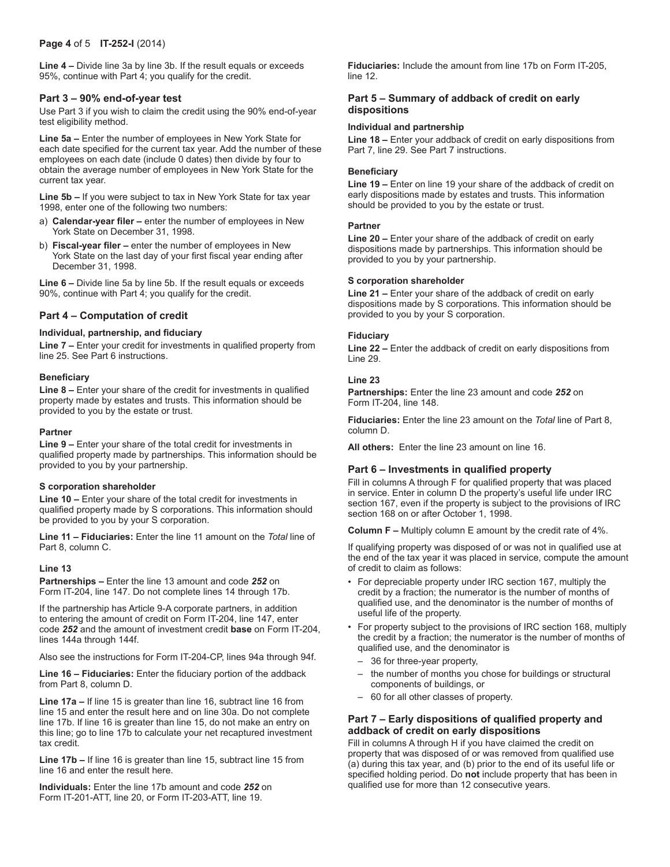**Line 4 –** Divide line 3a by line 3b. If the result equals or exceeds 95%, continue with Part 4; you qualify for the credit.

#### **Part 3 – 90% end-of-year test**

Use Part 3 if you wish to claim the credit using the 90% end-of-year test eligibility method.

**Line 5a –** Enter the number of employees in New York State for each date specified for the current tax year. Add the number of these employees on each date (include 0 dates) then divide by four to obtain the average number of employees in New York State for the current tax year.

**Line 5b –** If you were subject to tax in New York State for tax year 1998, enter one of the following two numbers:

- a) **Calendar-year filer –** enter the number of employees in New York State on December 31, 1998.
- b) **Fiscal-year filer –** enter the number of employees in New York State on the last day of your first fiscal year ending after December 31, 1998.

**Line 6 –** Divide line 5a by line 5b. If the result equals or exceeds 90%, continue with Part 4; you qualify for the credit.

## **Part 4 – Computation of credit**

#### **Individual, partnership, and fiduciary**

**Line 7 –** Enter your credit for investments in qualified property from line 25. See Part 6 instructions.

#### **Beneficiary**

**Line 8 –** Enter your share of the credit for investments in qualified property made by estates and trusts. This information should be provided to you by the estate or trust.

#### **Partner**

**Line 9 –** Enter your share of the total credit for investments in qualified property made by partnerships. This information should be provided to you by your partnership.

#### **S corporation shareholder**

**Line 10 –** Enter your share of the total credit for investments in qualified property made by S corporations. This information should be provided to you by your S corporation.

**Line 11 – Fiduciaries:** Enter the line 11 amount on the *Total* line of Part 8, column C.

#### **Line 13**

**Partnerships –** Enter the line 13 amount and code *252* on Form IT-204, line 147. Do not complete lines 14 through 17b.

If the partnership has Article 9-A corporate partners, in addition to entering the amount of credit on Form IT-204, line 147, enter code *252* and the amount of investment credit **base** on Form IT-204, lines 144a through 144f.

Also see the instructions for Form IT-204-CP, lines 94a through 94f.

**Line 16 – Fiduciaries:** Enter the fiduciary portion of the addback from Part 8, column D.

**Line 17a –** If line 15 is greater than line 16, subtract line 16 from line 15 and enter the result here and on line 30a. Do not complete line 17b. If line 16 is greater than line 15, do not make an entry on this line; go to line 17b to calculate your net recaptured investment tax credit.

**Line 17b –** If line 16 is greater than line 15, subtract line 15 from line 16 and enter the result here.

**Individuals:** Enter the line 17b amount and code *252* on Form IT-201-ATT, line 20, or Form IT-203-ATT, line 19.

**Fiduciaries:** Include the amount from line 17b on Form IT-205, line 12.

#### **Part 5 – Summary of addback of credit on early dispositions**

#### **Individual and partnership**

**Line 18 –** Enter your addback of credit on early dispositions from Part 7, line 29. See Part 7 instructions.

#### **Beneficiary**

**Line 19 –** Enter on line 19 your share of the addback of credit on early dispositions made by estates and trusts. This information should be provided to you by the estate or trust.

#### **Partner**

**Line 20 –** Enter your share of the addback of credit on early dispositions made by partnerships. This information should be provided to you by your partnership.

#### **S corporation shareholder**

**Line 21 –** Enter your share of the addback of credit on early dispositions made by S corporations. This information should be provided to you by your S corporation.

#### **Fiduciary**

**Line 22 –** Enter the addback of credit on early dispositions from Line 29.

### **Line 23**

**Partnerships:** Enter the line 23 amount and code *252* on Form IT-204, line 148.

**Fiduciaries:** Enter the line 23 amount on the *Total* line of Part 8, column D.

**All others:** Enter the line 23 amount on line 16.

#### **Part 6 – Investments in qualified property**

Fill in columns A through F for qualified property that was placed in service. Enter in column D the property's useful life under IRC section 167, even if the property is subject to the provisions of IRC section 168 on or after October 1, 1998.

**Column F –** Multiply column E amount by the credit rate of 4%.

If qualifying property was disposed of or was not in qualified use at the end of the tax year it was placed in service, compute the amount of credit to claim as follows:

- For depreciable property under IRC section 167, multiply the credit by a fraction; the numerator is the number of months of qualified use, and the denominator is the number of months of useful life of the property.
- For property subject to the provisions of IRC section 168, multiply the credit by a fraction; the numerator is the number of months of qualified use, and the denominator is
	- 36 for three-year property,
	- the number of months you chose for buildings or structural components of buildings, or
	- 60 for all other classes of property.

#### **Part 7 – Early dispositions of qualified property and addback of credit on early dispositions**

Fill in columns A through H if you have claimed the credit on property that was disposed of or was removed from qualified use (a) during this tax year, and (b) prior to the end of its useful life or specified holding period. Do **not** include property that has been in qualified use for more than 12 consecutive years.